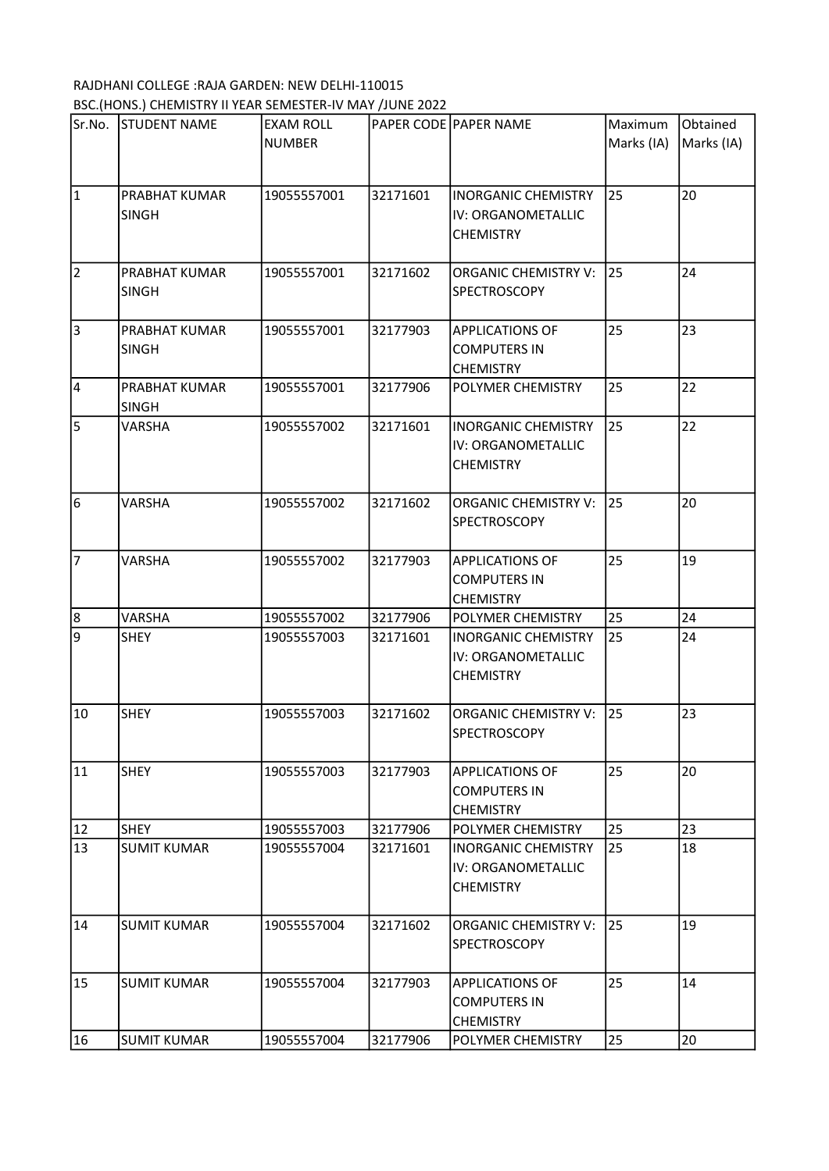## RAJDHANI COLLEGE :RAJA GARDEN: NEW DELHI-110015 BSC.(HONS.) CHEMISTRY II YEAR SEMESTER-IV MAY /JUNE 2022

| Sr.No.                | <b>STUDENT NAME</b>           | EXAM ROLL   |          | <b>PAPER CODE PAPER NAME</b>                                         | Maximum    | Obtained   |
|-----------------------|-------------------------------|-------------|----------|----------------------------------------------------------------------|------------|------------|
|                       |                               | NUMBER      |          |                                                                      | Marks (IA) | Marks (IA) |
| $\vert$ 1             | PRABHAT KUMAR<br><b>SINGH</b> | 19055557001 | 32171601 | <b>INORGANIC CHEMISTRY</b><br>IV: ORGANOMETALLIC<br><b>CHEMISTRY</b> | 25         | 20         |
| 2                     | PRABHAT KUMAR<br><b>SINGH</b> | 19055557001 | 32171602 | <b>ORGANIC CHEMISTRY V:</b><br><b>SPECTROSCOPY</b>                   | 25         | 24         |
| $\overline{\epsilon}$ | PRABHAT KUMAR<br><b>SINGH</b> | 19055557001 | 32177903 | <b>APPLICATIONS OF</b><br><b>COMPUTERS IN</b><br><b>CHEMISTRY</b>    | 25         | 23         |
| 4                     | PRABHAT KUMAR<br><b>SINGH</b> | 19055557001 | 32177906 | POLYMER CHEMISTRY                                                    | 25         | 22         |
| $\overline{5}$        | <b>VARSHA</b>                 | 19055557002 | 32171601 | <b>INORGANIC CHEMISTRY</b><br>IV: ORGANOMETALLIC<br><b>CHEMISTRY</b> | 25         | 22         |
| $6\overline{6}$       | <b>VARSHA</b>                 | 19055557002 | 32171602 | <b>ORGANIC CHEMISTRY V:</b><br><b>SPECTROSCOPY</b>                   | 25         | 20         |
| 7                     | VARSHA                        | 19055557002 | 32177903 | <b>APPLICATIONS OF</b><br><b>COMPUTERS IN</b><br><b>CHEMISTRY</b>    | 25         | 19         |
| 8                     | <b>VARSHA</b>                 | 19055557002 | 32177906 | POLYMER CHEMISTRY                                                    | 25         | 24         |
| 9                     | <b>SHEY</b>                   | 19055557003 | 32171601 | <b>INORGANIC CHEMISTRY</b><br>IV: ORGANOMETALLIC<br><b>CHEMISTRY</b> | 25         | 24         |
| 10                    | <b>SHEY</b>                   | 19055557003 | 32171602 | <b>ORGANIC CHEMISTRY V:</b><br><b>SPECTROSCOPY</b>                   | 25         | 23         |
| 11                    | <b>SHEY</b>                   | 19055557003 | 32177903 | <b>APPLICATIONS OF</b><br><b>COMPUTERS IN</b><br><b>CHEMISTRY</b>    | 25         | 20         |
| 12                    | <b>SHEY</b>                   | 19055557003 | 32177906 | POLYMER CHEMISTRY                                                    | 25         | 23         |
| 13                    | <b>SUMIT KUMAR</b>            | 19055557004 | 32171601 | <b>INORGANIC CHEMISTRY</b><br>IV: ORGANOMETALLIC<br><b>CHEMISTRY</b> | 25         | 18         |
| 14                    | <b>SUMIT KUMAR</b>            | 19055557004 | 32171602 | <b>ORGANIC CHEMISTRY V:</b><br><b>SPECTROSCOPY</b>                   | 25         | 19         |
| 15                    | <b>SUMIT KUMAR</b>            | 19055557004 | 32177903 | <b>APPLICATIONS OF</b><br><b>COMPUTERS IN</b><br><b>CHEMISTRY</b>    | 25         | 14         |
| 16                    | <b>SUMIT KUMAR</b>            | 19055557004 | 32177906 | POLYMER CHEMISTRY                                                    | 25         | 20         |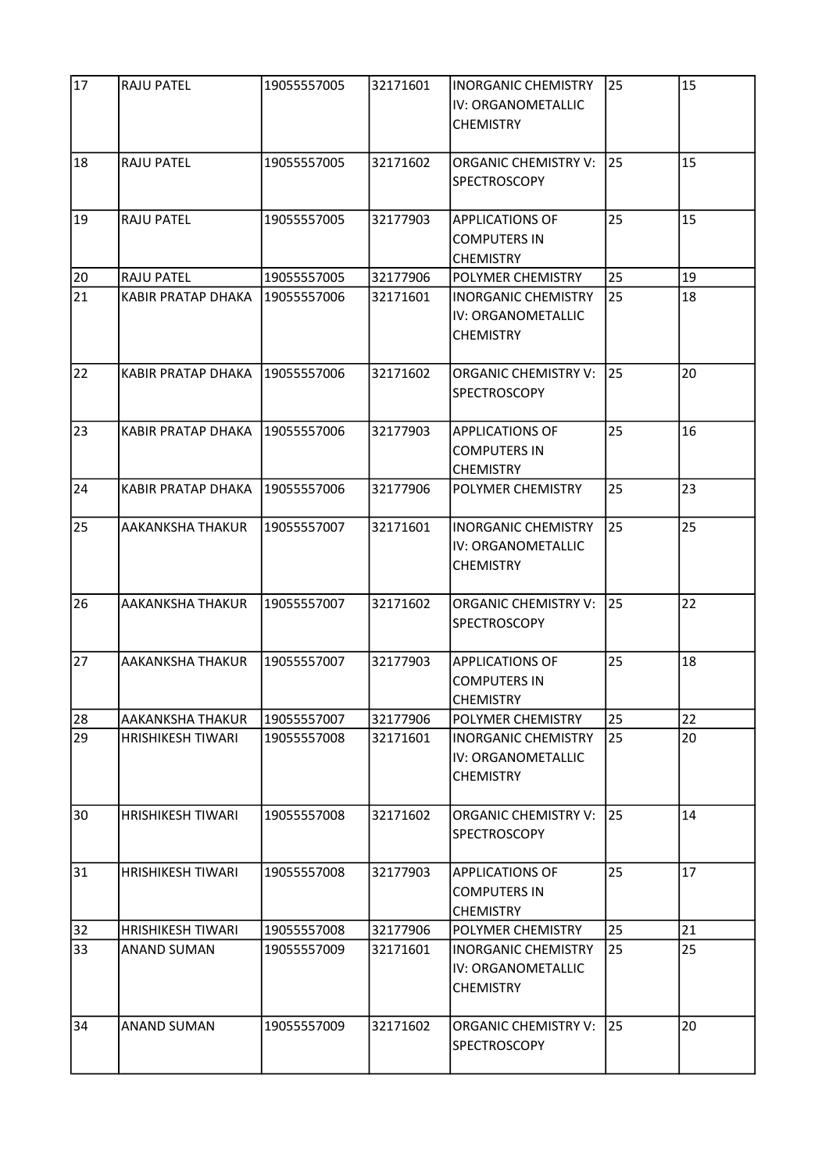| 17 | <b>RAJU PATEL</b>        | 19055557005 | 32171601 | <b>INORGANIC CHEMISTRY</b><br>IV: ORGANOMETALLIC<br><b>CHEMISTRY</b> | 25 | 15 |
|----|--------------------------|-------------|----------|----------------------------------------------------------------------|----|----|
| 18 | <b>RAJU PATEL</b>        | 19055557005 | 32171602 | <b>ORGANIC CHEMISTRY V:</b><br>SPECTROSCOPY                          | 25 | 15 |
| 19 | <b>RAJU PATEL</b>        | 19055557005 | 32177903 | <b>APPLICATIONS OF</b><br><b>COMPUTERS IN</b><br><b>CHEMISTRY</b>    | 25 | 15 |
| 20 | <b>RAJU PATEL</b>        | 19055557005 | 32177906 | POLYMER CHEMISTRY                                                    | 25 | 19 |
| 21 | KABIR PRATAP DHAKA       | 19055557006 | 32171601 | <b>INORGANIC CHEMISTRY</b><br>IV: ORGANOMETALLIC<br><b>CHEMISTRY</b> | 25 | 18 |
| 22 | KABIR PRATAP DHAKA       | 19055557006 | 32171602 | <b>ORGANIC CHEMISTRY V:</b><br><b>SPECTROSCOPY</b>                   | 25 | 20 |
| 23 | KABIR PRATAP DHAKA       | 19055557006 | 32177903 | <b>APPLICATIONS OF</b><br>COMPUTERS IN<br><b>CHEMISTRY</b>           | 25 | 16 |
| 24 | KABIR PRATAP DHAKA       | 19055557006 | 32177906 | POLYMER CHEMISTRY                                                    | 25 | 23 |
| 25 | AAKANKSHA THAKUR         | 19055557007 | 32171601 | <b>INORGANIC CHEMISTRY</b><br>IV: ORGANOMETALLIC<br><b>CHEMISTRY</b> | 25 | 25 |
| 26 | AAKANKSHA THAKUR         | 19055557007 | 32171602 | <b>ORGANIC CHEMISTRY V:</b><br>SPECTROSCOPY                          | 25 | 22 |
| 27 | AAKANKSHA THAKUR         | 19055557007 | 32177903 | <b>APPLICATIONS OF</b><br>COMPUTERS IN<br><b>CHEMISTRY</b>           | 25 | 18 |
| 28 | AAKANKSHA THAKUR         | 19055557007 | 32177906 | POLYMER CHEMISTRY                                                    | 25 | 22 |
| 29 | HRISHIKESH TIWARI        | 19055557008 | 32171601 | <b>INORGANIC CHEMISTRY</b><br>IV: ORGANOMETALLIC<br><b>CHEMISTRY</b> | 25 | 20 |
| 30 | <b>HRISHIKESH TIWARI</b> | 19055557008 | 32171602 | ORGANIC CHEMISTRY V:<br><b>SPECTROSCOPY</b>                          | 25 | 14 |
| 31 | <b>HRISHIKESH TIWARI</b> | 19055557008 | 32177903 | <b>APPLICATIONS OF</b><br><b>COMPUTERS IN</b><br><b>CHEMISTRY</b>    | 25 | 17 |
| 32 | <b>HRISHIKESH TIWARI</b> | 19055557008 | 32177906 | POLYMER CHEMISTRY                                                    | 25 | 21 |
| 33 | <b>ANAND SUMAN</b>       | 19055557009 | 32171601 | <b>INORGANIC CHEMISTRY</b><br>IV: ORGANOMETALLIC<br><b>CHEMISTRY</b> | 25 | 25 |
| 34 | ANAND SUMAN              | 19055557009 | 32171602 | <b>ORGANIC CHEMISTRY V:</b><br><b>SPECTROSCOPY</b>                   | 25 | 20 |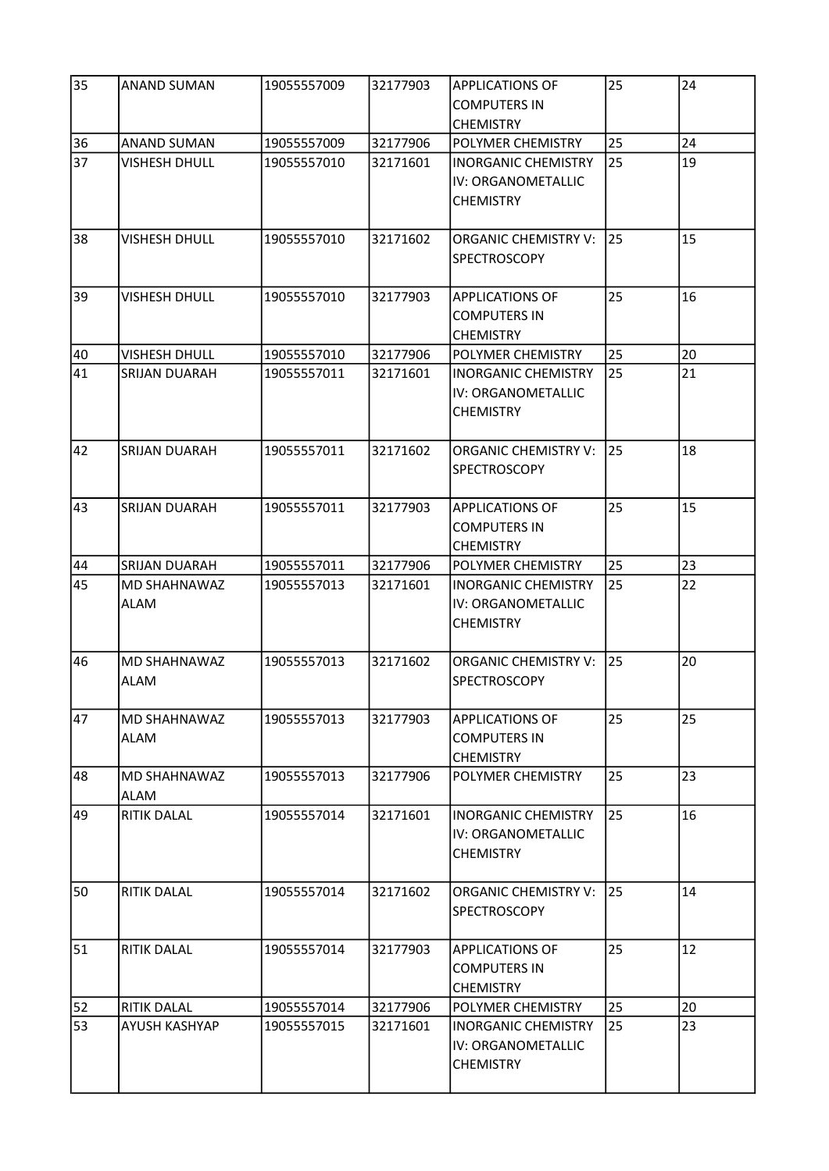| 35 | ANAND SUMAN                        | 19055557009 | 32177903 | <b>APPLICATIONS OF</b><br><b>COMPUTERS IN</b><br><b>CHEMISTRY</b>    | 25 | 24 |
|----|------------------------------------|-------------|----------|----------------------------------------------------------------------|----|----|
| 36 | <b>ANAND SUMAN</b>                 | 19055557009 | 32177906 | <b>POLYMER CHEMISTRY</b>                                             | 25 | 24 |
| 37 | <b>VISHESH DHULL</b>               | 19055557010 | 32171601 | <b>INORGANIC CHEMISTRY</b><br>IV: ORGANOMETALLIC<br><b>CHEMISTRY</b> | 25 | 19 |
| 38 | <b>VISHESH DHULL</b>               | 19055557010 | 32171602 | <b>ORGANIC CHEMISTRY V:</b><br>SPECTROSCOPY                          | 25 | 15 |
| 39 | <b>VISHESH DHULL</b>               | 19055557010 | 32177903 | <b>APPLICATIONS OF</b><br><b>COMPUTERS IN</b><br><b>CHEMISTRY</b>    | 25 | 16 |
| 40 | <b>VISHESH DHULL</b>               | 19055557010 | 32177906 | POLYMER CHEMISTRY                                                    | 25 | 20 |
| 41 | <b>SRIJAN DUARAH</b>               | 19055557011 | 32171601 | <b>INORGANIC CHEMISTRY</b><br>IV: ORGANOMETALLIC<br><b>CHEMISTRY</b> | 25 | 21 |
| 42 | <b>SRIJAN DUARAH</b>               | 19055557011 | 32171602 | <b>ORGANIC CHEMISTRY V:</b><br><b>SPECTROSCOPY</b>                   | 25 | 18 |
| 43 | <b>SRIJAN DUARAH</b>               | 19055557011 | 32177903 | <b>APPLICATIONS OF</b><br>COMPUTERS IN<br><b>CHEMISTRY</b>           | 25 | 15 |
| 44 | <b>SRIJAN DUARAH</b>               | 19055557011 | 32177906 | <b>POLYMER CHEMISTRY</b>                                             | 25 | 23 |
| 45 | MD SHAHNAWAZ<br><b>ALAM</b>        | 19055557013 | 32171601 | <b>INORGANIC CHEMISTRY</b><br>IV: ORGANOMETALLIC<br><b>CHEMISTRY</b> | 25 | 22 |
| 46 | <b>MD SHAHNAWAZ</b><br><b>ALAM</b> | 19055557013 | 32171602 | ORGANIC CHEMISTRY V:<br><b>SPECTROSCOPY</b>                          | 25 | 20 |
| 47 | MD SHAHNAWAZ<br><b>ALAM</b>        | 19055557013 | 32177903 | <b>APPLICATIONS OF</b><br><b>COMPUTERS IN</b><br><b>CHEMISTRY</b>    | 25 | 25 |
| 48 | <b>MD SHAHNAWAZ</b><br>ALAM        | 19055557013 | 32177906 | POLYMER CHEMISTRY                                                    | 25 | 23 |
| 49 | <b>RITIK DALAL</b>                 | 19055557014 | 32171601 | <b>INORGANIC CHEMISTRY</b><br>IV: ORGANOMETALLIC<br><b>CHEMISTRY</b> | 25 | 16 |
| 50 | <b>RITIK DALAL</b>                 | 19055557014 | 32171602 | ORGANIC CHEMISTRY V:<br><b>SPECTROSCOPY</b>                          | 25 | 14 |
| 51 | <b>RITIK DALAL</b>                 | 19055557014 | 32177903 | <b>APPLICATIONS OF</b><br>COMPUTERS IN<br><b>CHEMISTRY</b>           | 25 | 12 |
| 52 | <b>RITIK DALAL</b>                 | 19055557014 | 32177906 | POLYMER CHEMISTRY                                                    | 25 | 20 |
| 53 | AYUSH KASHYAP                      | 19055557015 | 32171601 | <b>INORGANIC CHEMISTRY</b><br>IV: ORGANOMETALLIC<br><b>CHEMISTRY</b> | 25 | 23 |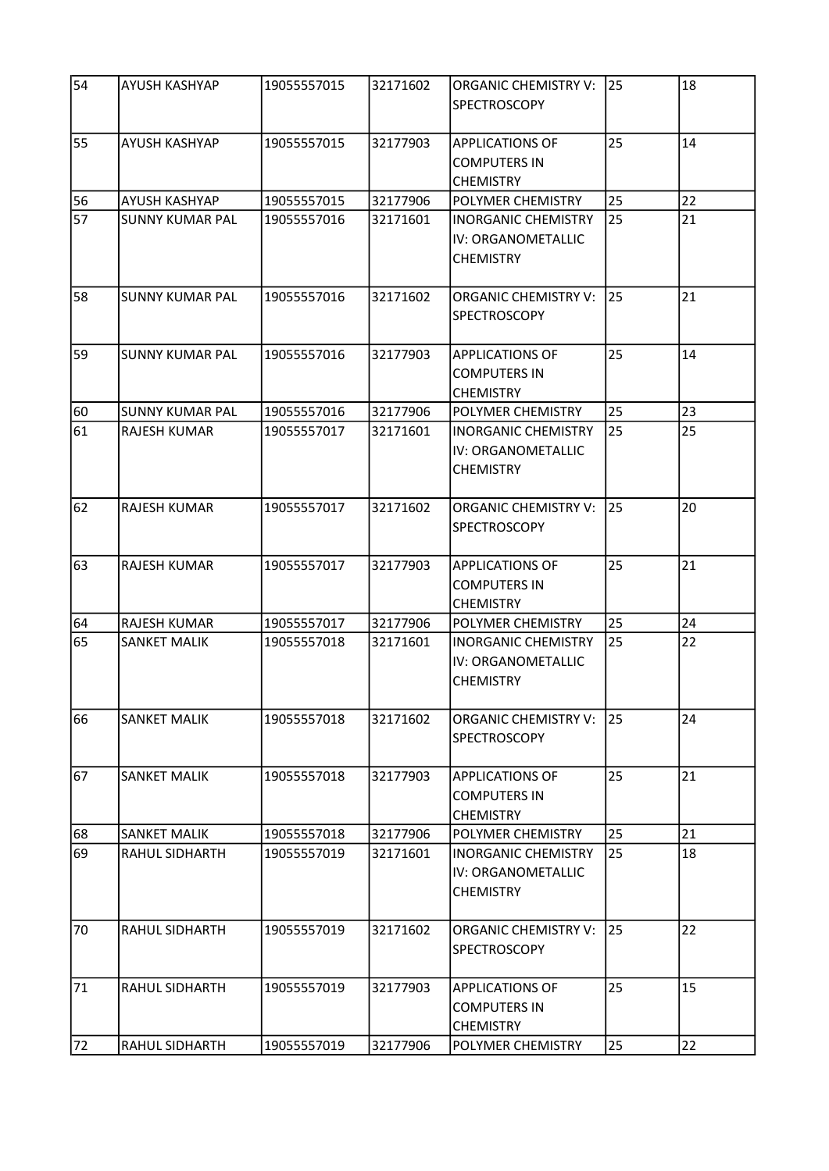| 54 | AYUSH KASHYAP          | 19055557015 | 32171602 | <b>ORGANIC CHEMISTRY V:</b><br><b>SPECTROSCOPY</b>                   | 25 | 18 |
|----|------------------------|-------------|----------|----------------------------------------------------------------------|----|----|
| 55 | <b>AYUSH KASHYAP</b>   | 19055557015 | 32177903 | <b>APPLICATIONS OF</b><br><b>COMPUTERS IN</b><br><b>CHEMISTRY</b>    | 25 | 14 |
| 56 | AYUSH KASHYAP          | 19055557015 | 32177906 | POLYMER CHEMISTRY                                                    | 25 | 22 |
| 57 | <b>SUNNY KUMAR PAL</b> | 19055557016 | 32171601 | <b>INORGANIC CHEMISTRY</b><br>IV: ORGANOMETALLIC<br><b>CHEMISTRY</b> | 25 | 21 |
| 58 | <b>SUNNY KUMAR PAL</b> | 19055557016 | 32171602 | <b>ORGANIC CHEMISTRY V:</b><br><b>SPECTROSCOPY</b>                   | 25 | 21 |
| 59 | <b>SUNNY KUMAR PAL</b> | 19055557016 | 32177903 | <b>APPLICATIONS OF</b><br><b>COMPUTERS IN</b><br><b>CHEMISTRY</b>    | 25 | 14 |
| 60 | <b>SUNNY KUMAR PAL</b> | 19055557016 | 32177906 | POLYMER CHEMISTRY                                                    | 25 | 23 |
| 61 | <b>RAJESH KUMAR</b>    | 19055557017 | 32171601 | <b>INORGANIC CHEMISTRY</b><br>IV: ORGANOMETALLIC<br><b>CHEMISTRY</b> | 25 | 25 |
| 62 | <b>RAJESH KUMAR</b>    | 19055557017 | 32171602 | <b>ORGANIC CHEMISTRY V:</b><br><b>SPECTROSCOPY</b>                   | 25 | 20 |
| 63 | <b>RAJESH KUMAR</b>    | 19055557017 | 32177903 | <b>APPLICATIONS OF</b><br><b>COMPUTERS IN</b><br><b>CHEMISTRY</b>    | 25 | 21 |
| 64 | <b>RAJESH KUMAR</b>    | 19055557017 | 32177906 | POLYMER CHEMISTRY                                                    | 25 | 24 |
| 65 | <b>SANKET MALIK</b>    | 19055557018 | 32171601 | <b>INORGANIC CHEMISTRY</b><br>IV: ORGANOMETALLIC<br><b>CHEMISTRY</b> | 25 | 22 |
| 66 | <b>SANKET MALIK</b>    | 19055557018 | 32171602 | <b>ORGANIC CHEMISTRY V:</b><br><b>SPECTROSCOPY</b>                   | 25 | 24 |
| 67 | SANKET MALIK           | 19055557018 | 32177903 | <b>APPLICATIONS OF</b><br><b>COMPUTERS IN</b><br><b>CHEMISTRY</b>    | 25 | 21 |
| 68 | <b>SANKET MALIK</b>    | 19055557018 | 32177906 | POLYMER CHEMISTRY                                                    | 25 | 21 |
| 69 | <b>RAHUL SIDHARTH</b>  | 19055557019 | 32171601 | <b>INORGANIC CHEMISTRY</b><br>IV: ORGANOMETALLIC<br><b>CHEMISTRY</b> | 25 | 18 |
| 70 | RAHUL SIDHARTH         | 19055557019 | 32171602 | <b>ORGANIC CHEMISTRY V:</b><br><b>SPECTROSCOPY</b>                   | 25 | 22 |
| 71 | RAHUL SIDHARTH         | 19055557019 | 32177903 | <b>APPLICATIONS OF</b><br><b>COMPUTERS IN</b><br><b>CHEMISTRY</b>    | 25 | 15 |
| 72 | RAHUL SIDHARTH         | 19055557019 | 32177906 | POLYMER CHEMISTRY                                                    | 25 | 22 |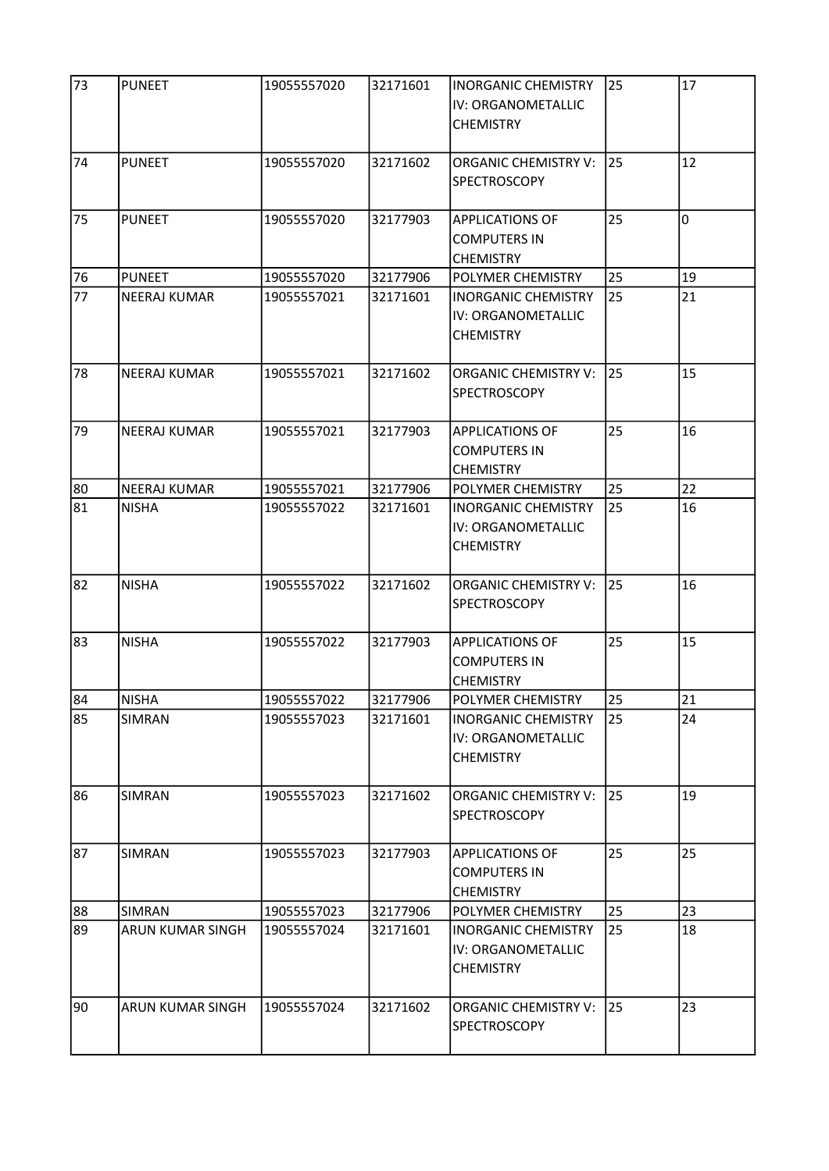| 73 | <b>PUNEET</b>       | 19055557020 | 32171601 | <b>INORGANIC CHEMISTRY</b><br>IV: ORGANOMETALLIC<br><b>CHEMISTRY</b> | 25 | 17 |
|----|---------------------|-------------|----------|----------------------------------------------------------------------|----|----|
| 74 | <b>PUNEET</b>       | 19055557020 | 32171602 | <b>ORGANIC CHEMISTRY V:</b><br>SPECTROSCOPY                          | 25 | 12 |
| 75 | <b>PUNEET</b>       | 19055557020 | 32177903 | <b>APPLICATIONS OF</b><br><b>COMPUTERS IN</b><br><b>CHEMISTRY</b>    | 25 | O  |
| 76 | <b>PUNEET</b>       | 19055557020 | 32177906 | POLYMER CHEMISTRY                                                    | 25 | 19 |
| 77 | <b>NEERAJ KUMAR</b> | 19055557021 | 32171601 | <b>INORGANIC CHEMISTRY</b><br>IV: ORGANOMETALLIC<br><b>CHEMISTRY</b> | 25 | 21 |
| 78 | <b>NEERAJ KUMAR</b> | 19055557021 | 32171602 | <b>ORGANIC CHEMISTRY V:</b><br><b>SPECTROSCOPY</b>                   | 25 | 15 |
| 79 | <b>NEERAJ KUMAR</b> | 19055557021 | 32177903 | <b>APPLICATIONS OF</b><br><b>COMPUTERS IN</b><br><b>CHEMISTRY</b>    | 25 | 16 |
| 80 | <b>NEERAJ KUMAR</b> | 19055557021 | 32177906 | POLYMER CHEMISTRY                                                    | 25 | 22 |
| 81 | <b>NISHA</b>        | 19055557022 | 32171601 | <b>INORGANIC CHEMISTRY</b><br>IV: ORGANOMETALLIC<br><b>CHEMISTRY</b> | 25 | 16 |
| 82 | <b>NISHA</b>        | 19055557022 | 32171602 | <b>ORGANIC CHEMISTRY V:</b><br><b>SPECTROSCOPY</b>                   | 25 | 16 |
| 83 | <b>NISHA</b>        | 19055557022 | 32177903 | <b>APPLICATIONS OF</b><br><b>COMPUTERS IN</b><br><b>CHEMISTRY</b>    | 25 | 15 |
| 84 | <b>NISHA</b>        | 19055557022 | 32177906 | POLYMER CHEMISTRY                                                    | 25 | 21 |
| 85 | <b>SIMRAN</b>       | 19055557023 | 32171601 | <b>INORGANIC CHEMISTRY</b><br>IV: ORGANOMETALLIC<br><b>CHEMISTRY</b> | 25 | 24 |
| 86 | SIMRAN              | 19055557023 | 32171602 | <b>ORGANIC CHEMISTRY V:</b><br><b>SPECTROSCOPY</b>                   | 25 | 19 |
| 87 | <b>SIMRAN</b>       | 19055557023 | 32177903 | <b>APPLICATIONS OF</b><br><b>COMPUTERS IN</b><br><b>CHEMISTRY</b>    | 25 | 25 |
| 88 | <b>SIMRAN</b>       | 19055557023 | 32177906 | POLYMER CHEMISTRY                                                    | 25 | 23 |
| 89 | ARUN KUMAR SINGH    | 19055557024 | 32171601 | <b>INORGANIC CHEMISTRY</b><br>IV: ORGANOMETALLIC<br><b>CHEMISTRY</b> | 25 | 18 |
| 90 | ARUN KUMAR SINGH    | 19055557024 | 32171602 | ORGANIC CHEMISTRY V:<br><b>SPECTROSCOPY</b>                          | 25 | 23 |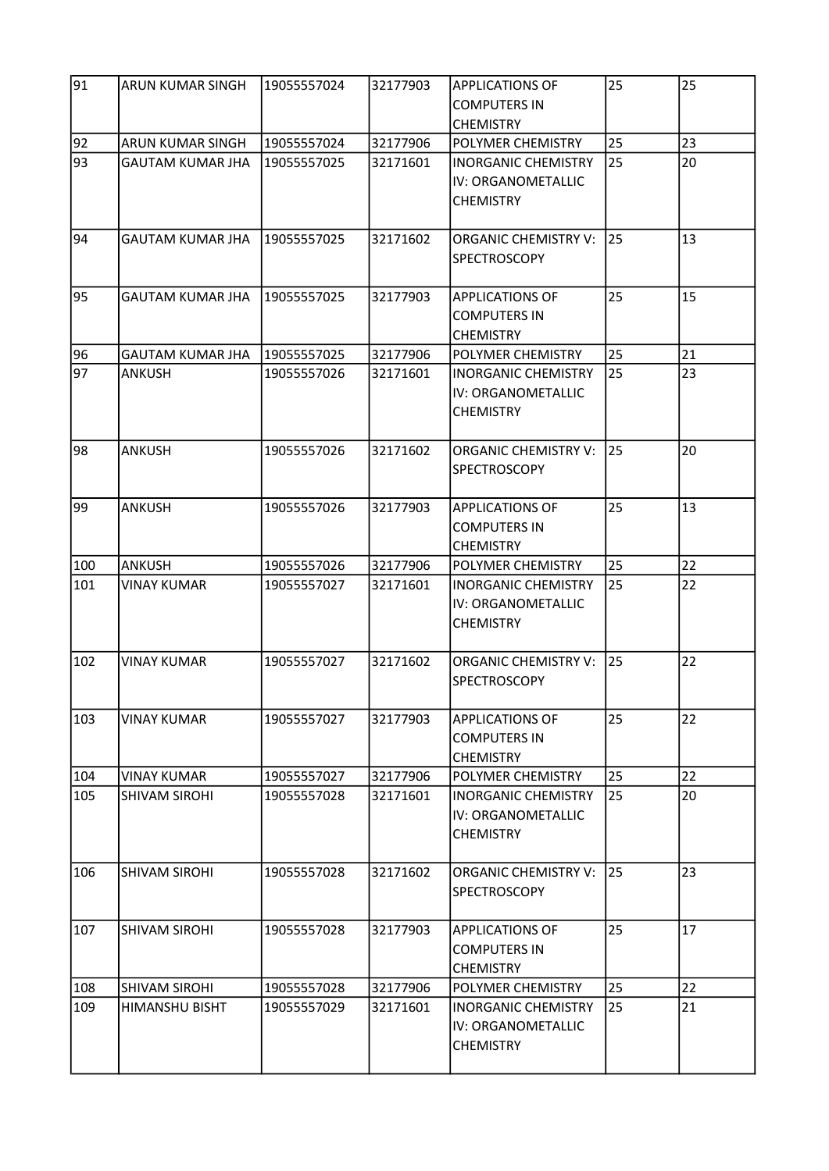| 91  | ARUN KUMAR SINGH        | 19055557024 | 32177903 | <b>APPLICATIONS OF</b><br><b>COMPUTERS IN</b><br><b>CHEMISTRY</b>    | 25 | 25 |
|-----|-------------------------|-------------|----------|----------------------------------------------------------------------|----|----|
| 92  | ARUN KUMAR SINGH        | 19055557024 | 32177906 | POLYMER CHEMISTRY                                                    | 25 | 23 |
| 93  | <b>GAUTAM KUMAR JHA</b> | 19055557025 | 32171601 | <b>INORGANIC CHEMISTRY</b><br>IV: ORGANOMETALLIC<br><b>CHEMISTRY</b> | 25 | 20 |
| 94  | <b>GAUTAM KUMAR JHA</b> | 19055557025 | 32171602 | <b>ORGANIC CHEMISTRY V:</b><br><b>SPECTROSCOPY</b>                   | 25 | 13 |
| 95  | <b>GAUTAM KUMAR JHA</b> | 19055557025 | 32177903 | <b>APPLICATIONS OF</b><br><b>COMPUTERS IN</b><br><b>CHEMISTRY</b>    | 25 | 15 |
| 96  | <b>GAUTAM KUMAR JHA</b> | 19055557025 | 32177906 | POLYMER CHEMISTRY                                                    | 25 | 21 |
| 97  | <b>ANKUSH</b>           | 19055557026 | 32171601 | <b>INORGANIC CHEMISTRY</b><br>IV: ORGANOMETALLIC<br><b>CHEMISTRY</b> | 25 | 23 |
| 98  | <b>ANKUSH</b>           | 19055557026 | 32171602 | <b>ORGANIC CHEMISTRY V:</b><br><b>SPECTROSCOPY</b>                   | 25 | 20 |
| 99  | <b>ANKUSH</b>           | 19055557026 | 32177903 | <b>APPLICATIONS OF</b><br><b>COMPUTERS IN</b><br><b>CHEMISTRY</b>    | 25 | 13 |
| 100 | <b>ANKUSH</b>           | 19055557026 | 32177906 | POLYMER CHEMISTRY                                                    | 25 | 22 |
| 101 | <b>VINAY KUMAR</b>      | 19055557027 | 32171601 | <b>INORGANIC CHEMISTRY</b><br>IV: ORGANOMETALLIC<br><b>CHEMISTRY</b> | 25 | 22 |
| 102 | <b>VINAY KUMAR</b>      | 19055557027 | 32171602 | <b>ORGANIC CHEMISTRY V:</b><br><b>SPECTROSCOPY</b>                   | 25 | 22 |
| 103 | <b>VINAY KUMAR</b>      | 19055557027 | 32177903 | <b>APPLICATIONS OF</b><br><b>COMPUTERS IN</b><br><b>CHEMISTRY</b>    | 25 | 22 |
| 104 | <b>VINAY KUMAR</b>      | 19055557027 | 32177906 | POLYMER CHEMISTRY                                                    | 25 | 22 |
| 105 | <b>SHIVAM SIROHI</b>    | 19055557028 | 32171601 | <b>INORGANIC CHEMISTRY</b><br>IV: ORGANOMETALLIC<br><b>CHEMISTRY</b> | 25 | 20 |
| 106 | <b>SHIVAM SIROHI</b>    | 19055557028 | 32171602 | <b>ORGANIC CHEMISTRY V:</b><br><b>SPECTROSCOPY</b>                   | 25 | 23 |
| 107 | <b>SHIVAM SIROHI</b>    | 19055557028 | 32177903 | <b>APPLICATIONS OF</b><br><b>COMPUTERS IN</b><br><b>CHEMISTRY</b>    | 25 | 17 |
| 108 | <b>SHIVAM SIROHI</b>    | 19055557028 | 32177906 | POLYMER CHEMISTRY                                                    | 25 | 22 |
| 109 | <b>HIMANSHU BISHT</b>   | 19055557029 | 32171601 | INORGANIC CHEMISTRY<br>IV: ORGANOMETALLIC<br><b>CHEMISTRY</b>        | 25 | 21 |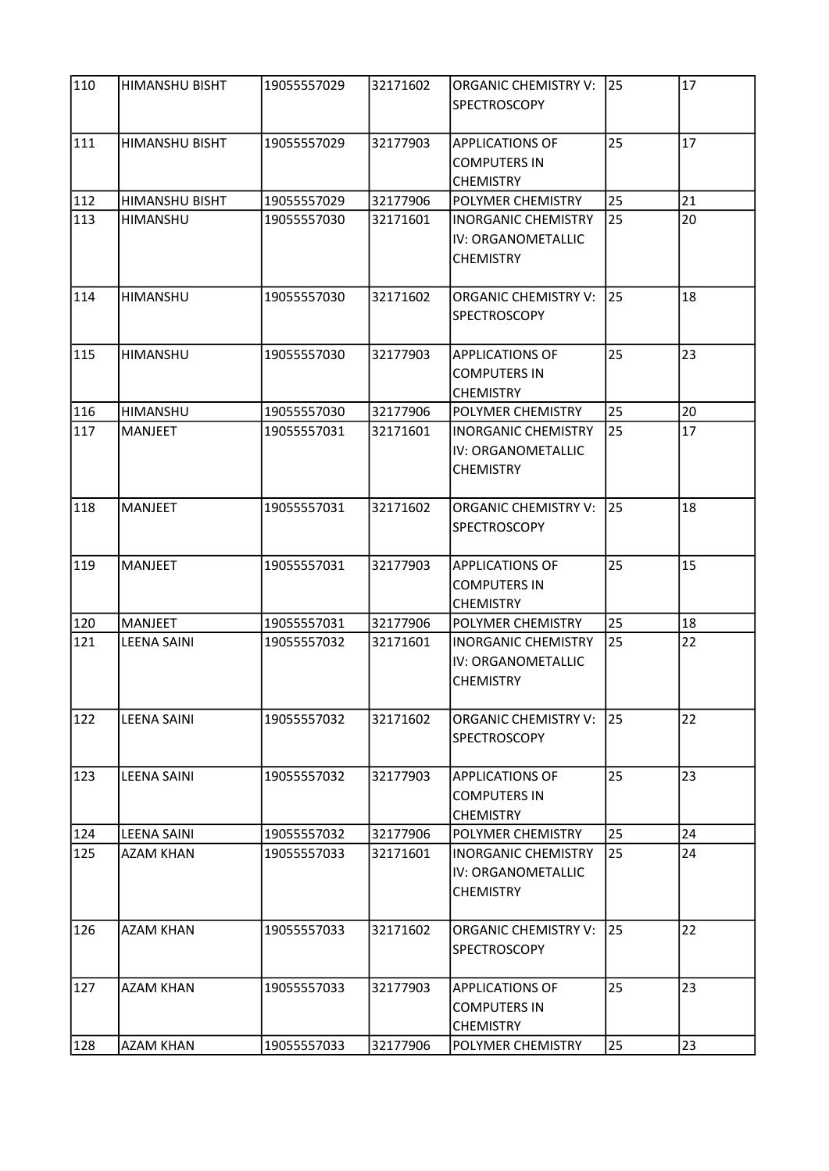| 110 | <b>HIMANSHU BISHT</b> | 19055557029 | 32171602 | <b>ORGANIC CHEMISTRY V:</b><br><b>SPECTROSCOPY</b>                   | 25 | 17 |
|-----|-----------------------|-------------|----------|----------------------------------------------------------------------|----|----|
| 111 | <b>HIMANSHU BISHT</b> | 19055557029 | 32177903 | <b>APPLICATIONS OF</b><br><b>COMPUTERS IN</b><br><b>CHEMISTRY</b>    | 25 | 17 |
| 112 | <b>HIMANSHU BISHT</b> | 19055557029 | 32177906 | POLYMER CHEMISTRY                                                    | 25 | 21 |
| 113 | <b>HIMANSHU</b>       | 19055557030 | 32171601 | <b>INORGANIC CHEMISTRY</b><br>IV: ORGANOMETALLIC<br><b>CHEMISTRY</b> | 25 | 20 |
| 114 | <b>HIMANSHU</b>       | 19055557030 | 32171602 | <b>ORGANIC CHEMISTRY V:</b><br><b>SPECTROSCOPY</b>                   | 25 | 18 |
| 115 | HIMANSHU              | 19055557030 | 32177903 | <b>APPLICATIONS OF</b><br><b>COMPUTERS IN</b><br><b>CHEMISTRY</b>    | 25 | 23 |
| 116 | HIMANSHU              | 19055557030 | 32177906 | POLYMER CHEMISTRY                                                    | 25 | 20 |
| 117 | <b>MANJEET</b>        | 19055557031 | 32171601 | <b>INORGANIC CHEMISTRY</b><br>IV: ORGANOMETALLIC<br><b>CHEMISTRY</b> | 25 | 17 |
| 118 | <b>MANJEET</b>        | 19055557031 | 32171602 | <b>ORGANIC CHEMISTRY V:</b><br><b>SPECTROSCOPY</b>                   | 25 | 18 |
| 119 | <b>MANJEET</b>        | 19055557031 | 32177903 | <b>APPLICATIONS OF</b><br><b>COMPUTERS IN</b><br><b>CHEMISTRY</b>    | 25 | 15 |
| 120 | <b>MANJEET</b>        | 19055557031 | 32177906 | POLYMER CHEMISTRY                                                    | 25 | 18 |
| 121 | <b>LEENA SAINI</b>    | 19055557032 | 32171601 | <b>INORGANIC CHEMISTRY</b><br>IV: ORGANOMETALLIC<br><b>CHEMISTRY</b> | 25 | 22 |
| 122 | <b>LEENA SAINI</b>    | 19055557032 | 32171602 | <b>ORGANIC CHEMISTRY V:</b><br><b>SPECTROSCOPY</b>                   | 25 | 22 |
| 123 | <b>LEENA SAINI</b>    | 19055557032 | 32177903 | <b>APPLICATIONS OF</b><br><b>COMPUTERS IN</b><br><b>CHEMISTRY</b>    | 25 | 23 |
| 124 | <b>LEENA SAINI</b>    | 19055557032 | 32177906 | POLYMER CHEMISTRY                                                    | 25 | 24 |
| 125 | <b>AZAM KHAN</b>      | 19055557033 | 32171601 | <b>INORGANIC CHEMISTRY</b><br>IV: ORGANOMETALLIC<br><b>CHEMISTRY</b> | 25 | 24 |
| 126 | <b>AZAM KHAN</b>      | 19055557033 | 32171602 | <b>ORGANIC CHEMISTRY V:</b><br><b>SPECTROSCOPY</b>                   | 25 | 22 |
| 127 | <b>AZAM KHAN</b>      | 19055557033 | 32177903 | <b>APPLICATIONS OF</b><br><b>COMPUTERS IN</b><br><b>CHEMISTRY</b>    | 25 | 23 |
| 128 | <b>AZAM KHAN</b>      | 19055557033 | 32177906 | POLYMER CHEMISTRY                                                    | 25 | 23 |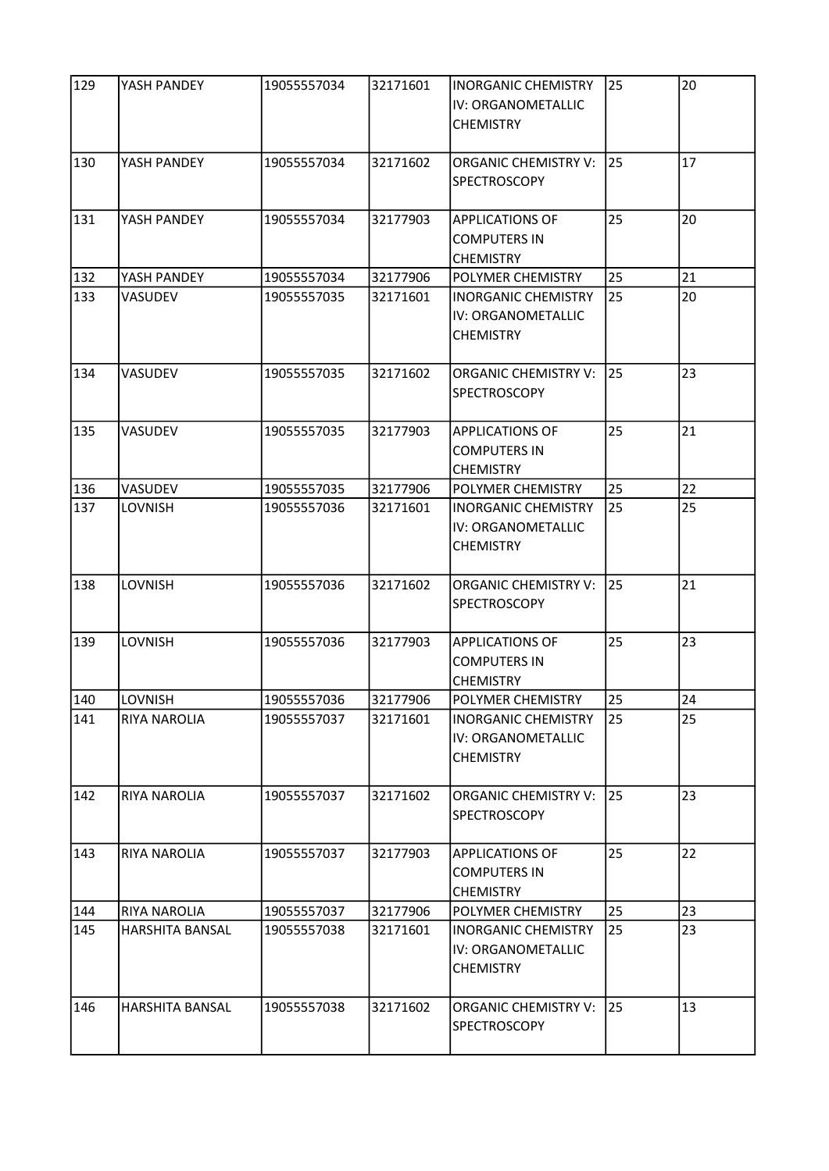| 129 | YASH PANDEY         | 19055557034 | 32171601 | <b>INORGANIC CHEMISTRY</b><br>IV: ORGANOMETALLIC<br><b>CHEMISTRY</b> | 25 | 20 |
|-----|---------------------|-------------|----------|----------------------------------------------------------------------|----|----|
| 130 | YASH PANDEY         | 19055557034 | 32171602 | <b>ORGANIC CHEMISTRY V:</b><br><b>SPECTROSCOPY</b>                   | 25 | 17 |
| 131 | YASH PANDEY         | 19055557034 | 32177903 | <b>APPLICATIONS OF</b><br><b>COMPUTERS IN</b><br><b>CHEMISTRY</b>    | 25 | 20 |
| 132 | YASH PANDEY         | 19055557034 | 32177906 | POLYMER CHEMISTRY                                                    | 25 | 21 |
| 133 | VASUDEV             | 19055557035 | 32171601 | <b>INORGANIC CHEMISTRY</b><br>IV: ORGANOMETALLIC<br><b>CHEMISTRY</b> | 25 | 20 |
| 134 | VASUDEV             | 19055557035 | 32171602 | ORGANIC CHEMISTRY V:<br><b>SPECTROSCOPY</b>                          | 25 | 23 |
| 135 | VASUDEV             | 19055557035 | 32177903 | <b>APPLICATIONS OF</b><br><b>COMPUTERS IN</b><br><b>CHEMISTRY</b>    | 25 | 21 |
| 136 | VASUDEV             | 19055557035 | 32177906 | POLYMER CHEMISTRY                                                    | 25 | 22 |
| 137 | LOVNISH             | 19055557036 | 32171601 | <b>INORGANIC CHEMISTRY</b><br>IV: ORGANOMETALLIC<br><b>CHEMISTRY</b> | 25 | 25 |
| 138 | LOVNISH             | 19055557036 | 32171602 | <b>ORGANIC CHEMISTRY V:</b><br>SPECTROSCOPY                          | 25 | 21 |
| 139 | LOVNISH             | 19055557036 | 32177903 | <b>APPLICATIONS OF</b><br><b>COMPUTERS IN</b><br><b>CHEMISTRY</b>    | 25 | 23 |
| 140 | LOVNISH             | 19055557036 | 32177906 | POLYMER CHEMISTRY                                                    | 25 | 24 |
| 141 | <b>RIYA NAROLIA</b> | 19055557037 | 32171601 | <b>INORGANIC CHEMISTRY</b><br>IV: ORGANOMETALLIC<br><b>CHEMISTRY</b> | 25 | 25 |
| 142 | RIYA NAROLIA        | 19055557037 | 32171602 | <b>ORGANIC CHEMISTRY V:</b><br><b>SPECTROSCOPY</b>                   | 25 | 23 |
| 143 | <b>RIYA NAROLIA</b> | 19055557037 | 32177903 | <b>APPLICATIONS OF</b><br><b>COMPUTERS IN</b><br><b>CHEMISTRY</b>    | 25 | 22 |
| 144 | RIYA NAROLIA        | 19055557037 | 32177906 | POLYMER CHEMISTRY                                                    | 25 | 23 |
| 145 | HARSHITA BANSAL     | 19055557038 | 32171601 | <b>INORGANIC CHEMISTRY</b><br>IV: ORGANOMETALLIC<br><b>CHEMISTRY</b> | 25 | 23 |
| 146 | HARSHITA BANSAL     | 19055557038 | 32171602 | <b>ORGANIC CHEMISTRY V:</b><br><b>SPECTROSCOPY</b>                   | 25 | 13 |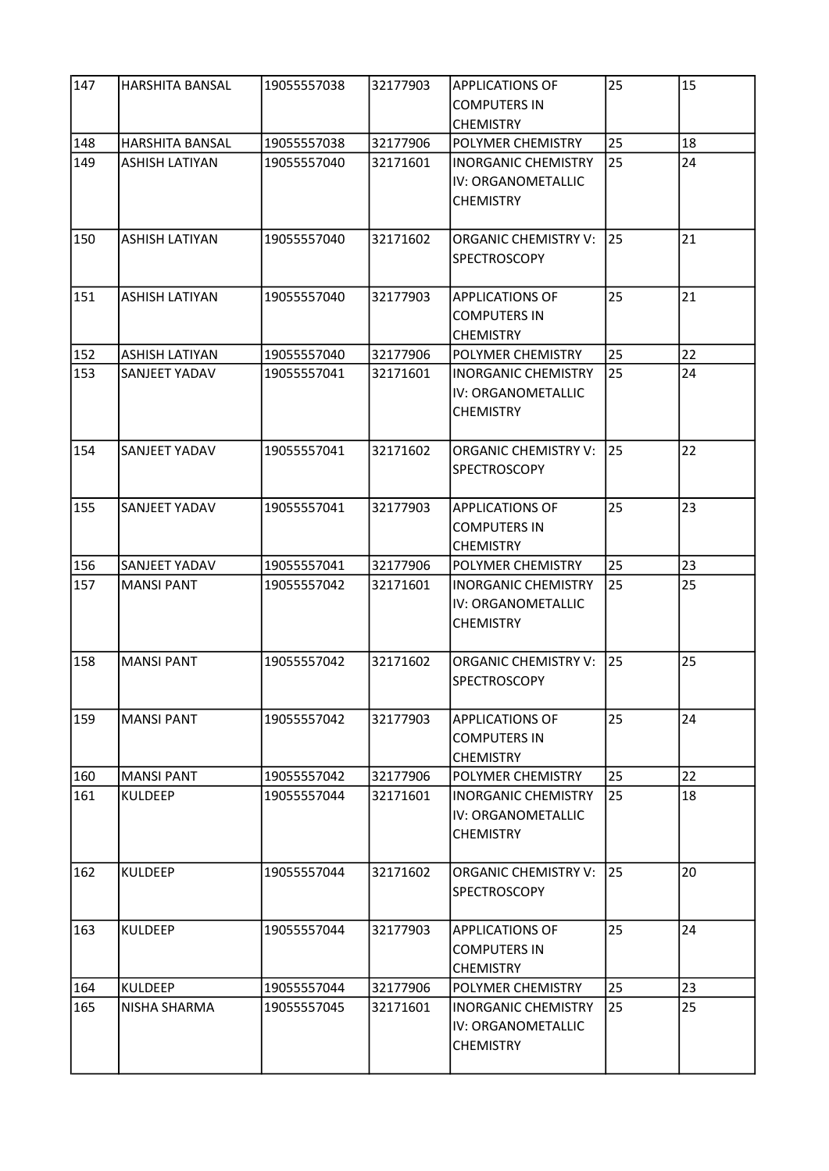| 147 | <b>HARSHITA BANSAL</b> | 19055557038 | 32177903 | <b>APPLICATIONS OF</b><br><b>COMPUTERS IN</b><br><b>CHEMISTRY</b>    | 25 | 15 |
|-----|------------------------|-------------|----------|----------------------------------------------------------------------|----|----|
| 148 | <b>HARSHITA BANSAL</b> | 19055557038 | 32177906 | <b>POLYMER CHEMISTRY</b>                                             | 25 | 18 |
| 149 | <b>ASHISH LATIYAN</b>  | 19055557040 | 32171601 | <b>INORGANIC CHEMISTRY</b><br>IV: ORGANOMETALLIC<br><b>CHEMISTRY</b> | 25 | 24 |
| 150 | <b>ASHISH LATIYAN</b>  | 19055557040 | 32171602 | <b>ORGANIC CHEMISTRY V:</b><br><b>SPECTROSCOPY</b>                   | 25 | 21 |
| 151 | <b>ASHISH LATIYAN</b>  | 19055557040 | 32177903 | <b>APPLICATIONS OF</b><br><b>COMPUTERS IN</b><br><b>CHEMISTRY</b>    | 25 | 21 |
| 152 | <b>ASHISH LATIYAN</b>  | 19055557040 | 32177906 | <b>POLYMER CHEMISTRY</b>                                             | 25 | 22 |
| 153 | SANJEET YADAV          | 19055557041 | 32171601 | <b>INORGANIC CHEMISTRY</b><br>IV: ORGANOMETALLIC<br><b>CHEMISTRY</b> | 25 | 24 |
| 154 | SANJEET YADAV          | 19055557041 | 32171602 | <b>ORGANIC CHEMISTRY V:</b><br><b>SPECTROSCOPY</b>                   | 25 | 22 |
| 155 | SANJEET YADAV          | 19055557041 | 32177903 | <b>APPLICATIONS OF</b><br><b>COMPUTERS IN</b><br><b>CHEMISTRY</b>    | 25 | 23 |
| 156 | <b>SANJEET YADAV</b>   | 19055557041 | 32177906 | POLYMER CHEMISTRY                                                    | 25 | 23 |
| 157 | <b>MANSI PANT</b>      | 19055557042 | 32171601 | <b>INORGANIC CHEMISTRY</b><br>IV: ORGANOMETALLIC<br><b>CHEMISTRY</b> | 25 | 25 |
| 158 | <b>MANSI PANT</b>      | 19055557042 | 32171602 | <b>ORGANIC CHEMISTRY V:</b><br><b>SPECTROSCOPY</b>                   | 25 | 25 |
| 159 | <b>MANSI PANT</b>      | 19055557042 | 32177903 | <b>APPLICATIONS OF</b><br><b>COMPUTERS IN</b><br><b>CHEMISTRY</b>    | 25 | 24 |
| 160 | <b>MANSI PANT</b>      | 19055557042 | 32177906 | POLYMER CHEMISTRY                                                    | 25 | 22 |
| 161 | <b>KULDEEP</b>         | 19055557044 | 32171601 | <b>INORGANIC CHEMISTRY</b><br>IV: ORGANOMETALLIC<br><b>CHEMISTRY</b> | 25 | 18 |
| 162 | <b>KULDEEP</b>         | 19055557044 | 32171602 | <b>ORGANIC CHEMISTRY V:</b><br><b>SPECTROSCOPY</b>                   | 25 | 20 |
| 163 | <b>KULDEEP</b>         | 19055557044 | 32177903 | <b>APPLICATIONS OF</b><br><b>COMPUTERS IN</b><br><b>CHEMISTRY</b>    | 25 | 24 |
| 164 | <b>KULDEEP</b>         | 19055557044 | 32177906 | <b>POLYMER CHEMISTRY</b>                                             | 25 | 23 |
| 165 | NISHA SHARMA           | 19055557045 | 32171601 | INORGANIC CHEMISTRY<br>IV: ORGANOMETALLIC<br><b>CHEMISTRY</b>        | 25 | 25 |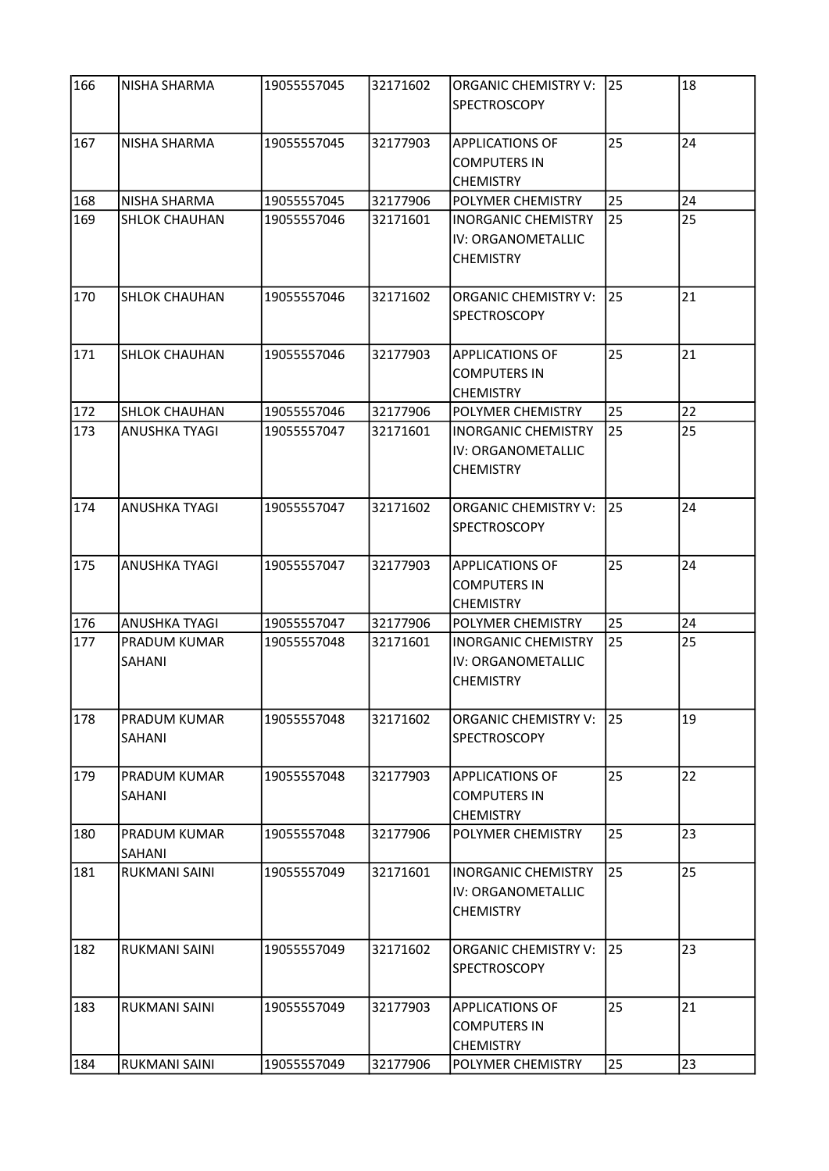| 166 | NISHA SHARMA           | 19055557045 | 32171602 | <b>ORGANIC CHEMISTRY V:</b><br><b>SPECTROSCOPY</b>                   | 25 | 18 |
|-----|------------------------|-------------|----------|----------------------------------------------------------------------|----|----|
| 167 | NISHA SHARMA           | 19055557045 | 32177903 | <b>APPLICATIONS OF</b><br><b>COMPUTERS IN</b><br><b>CHEMISTRY</b>    | 25 | 24 |
| 168 | NISHA SHARMA           | 19055557045 | 32177906 | POLYMER CHEMISTRY                                                    | 25 | 24 |
| 169 | <b>SHLOK CHAUHAN</b>   | 19055557046 | 32171601 | <b>INORGANIC CHEMISTRY</b><br>IV: ORGANOMETALLIC<br><b>CHEMISTRY</b> | 25 | 25 |
| 170 | <b>SHLOK CHAUHAN</b>   | 19055557046 | 32171602 | <b>ORGANIC CHEMISTRY V:</b><br>SPECTROSCOPY                          | 25 | 21 |
| 171 | <b>SHLOK CHAUHAN</b>   | 19055557046 | 32177903 | <b>APPLICATIONS OF</b><br><b>COMPUTERS IN</b><br><b>CHEMISTRY</b>    | 25 | 21 |
| 172 | <b>SHLOK CHAUHAN</b>   | 19055557046 | 32177906 | POLYMER CHEMISTRY                                                    | 25 | 22 |
| 173 | <b>ANUSHKA TYAGI</b>   | 19055557047 | 32171601 | <b>INORGANIC CHEMISTRY</b><br>IV: ORGANOMETALLIC<br><b>CHEMISTRY</b> | 25 | 25 |
| 174 | <b>ANUSHKA TYAGI</b>   | 19055557047 | 32171602 | <b>ORGANIC CHEMISTRY V:</b><br><b>SPECTROSCOPY</b>                   | 25 | 24 |
| 175 | ANUSHKA TYAGI          | 19055557047 | 32177903 | <b>APPLICATIONS OF</b><br><b>COMPUTERS IN</b><br><b>CHEMISTRY</b>    | 25 | 24 |
| 176 | ANUSHKA TYAGI          | 19055557047 | 32177906 | POLYMER CHEMISTRY                                                    | 25 | 24 |
| 177 | PRADUM KUMAR<br>SAHANI | 19055557048 | 32171601 | <b>INORGANIC CHEMISTRY</b><br>IV: ORGANOMETALLIC<br><b>CHEMISTRY</b> | 25 | 25 |
| 178 | PRADUM KUMAR<br>SAHANI | 19055557048 | 32171602 | <b>ORGANIC CHEMISTRY V:</b><br><b>SPECTROSCOPY</b>                   | 25 | 19 |
| 179 | PRADUM KUMAR<br>SAHANI | 19055557048 | 32177903 | <b>APPLICATIONS OF</b><br><b>COMPUTERS IN</b><br><b>CHEMISTRY</b>    | 25 | 22 |
| 180 | PRADUM KUMAR<br>SAHANI | 19055557048 | 32177906 | POLYMER CHEMISTRY                                                    | 25 | 23 |
| 181 | <b>RUKMANI SAINI</b>   | 19055557049 | 32171601 | <b>INORGANIC CHEMISTRY</b><br>IV: ORGANOMETALLIC<br><b>CHEMISTRY</b> | 25 | 25 |
| 182 | <b>RUKMANI SAINI</b>   | 19055557049 | 32171602 | <b>ORGANIC CHEMISTRY V:</b><br><b>SPECTROSCOPY</b>                   | 25 | 23 |
| 183 | RUKMANI SAINI          | 19055557049 | 32177903 | <b>APPLICATIONS OF</b><br><b>COMPUTERS IN</b><br><b>CHEMISTRY</b>    | 25 | 21 |
| 184 | RUKMANI SAINI          | 19055557049 | 32177906 | POLYMER CHEMISTRY                                                    | 25 | 23 |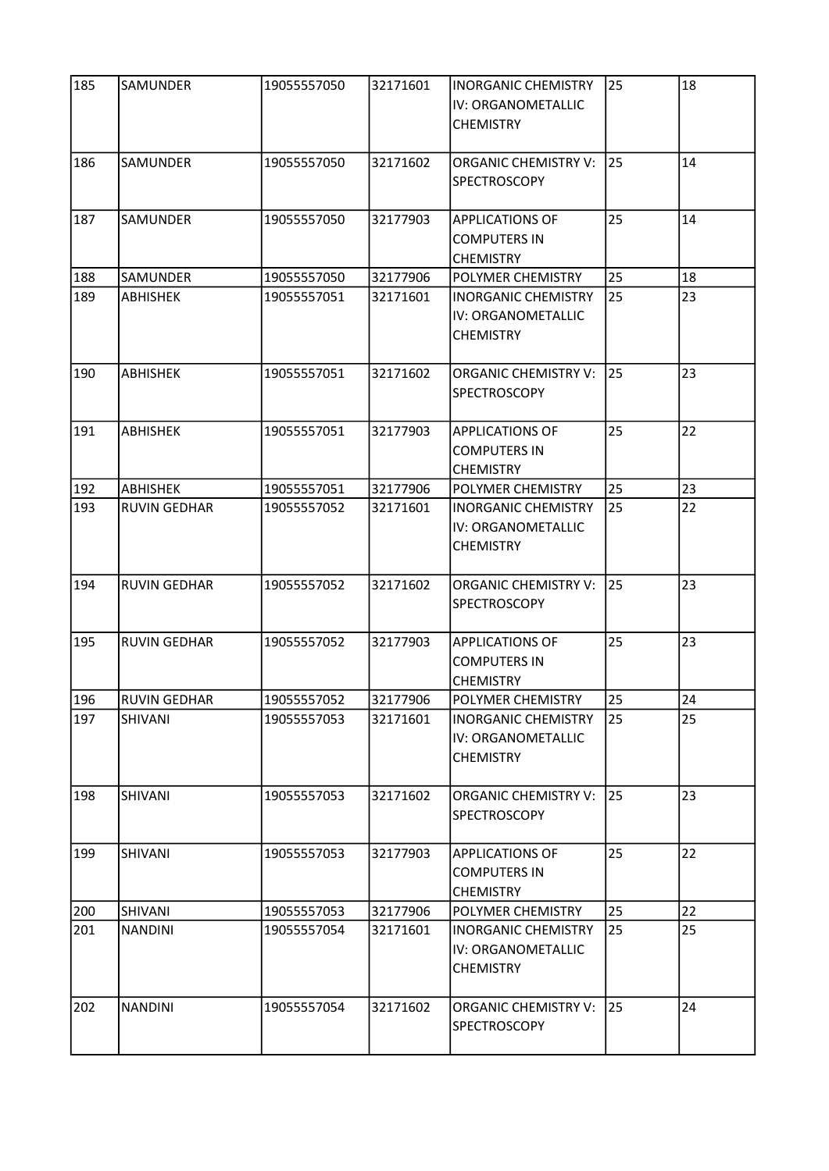| 185 | SAMUNDER            | 19055557050 | 32171601 | <b>INORGANIC CHEMISTRY</b><br>IV: ORGANOMETALLIC<br><b>CHEMISTRY</b> | 25 | 18 |
|-----|---------------------|-------------|----------|----------------------------------------------------------------------|----|----|
| 186 | <b>SAMUNDER</b>     | 19055557050 | 32171602 | <b>ORGANIC CHEMISTRY V:</b><br><b>SPECTROSCOPY</b>                   | 25 | 14 |
| 187 | SAMUNDER            | 19055557050 | 32177903 | <b>APPLICATIONS OF</b><br><b>COMPUTERS IN</b><br><b>CHEMISTRY</b>    | 25 | 14 |
| 188 | SAMUNDER            | 19055557050 | 32177906 | POLYMER CHEMISTRY                                                    | 25 | 18 |
| 189 | <b>ABHISHEK</b>     | 19055557051 | 32171601 | <b>INORGANIC CHEMISTRY</b><br>IV: ORGANOMETALLIC<br><b>CHEMISTRY</b> | 25 | 23 |
| 190 | <b>ABHISHEK</b>     | 19055557051 | 32171602 | <b>ORGANIC CHEMISTRY V:</b><br><b>SPECTROSCOPY</b>                   | 25 | 23 |
| 191 | ABHISHEK            | 19055557051 | 32177903 | <b>APPLICATIONS OF</b><br><b>COMPUTERS IN</b><br><b>CHEMISTRY</b>    | 25 | 22 |
| 192 | ABHISHEK            | 19055557051 | 32177906 | POLYMER CHEMISTRY                                                    | 25 | 23 |
| 193 | <b>RUVIN GEDHAR</b> | 19055557052 | 32171601 | <b>INORGANIC CHEMISTRY</b><br>IV: ORGANOMETALLIC<br><b>CHEMISTRY</b> | 25 | 22 |
| 194 | <b>RUVIN GEDHAR</b> | 19055557052 | 32171602 | <b>ORGANIC CHEMISTRY V:</b><br>SPECTROSCOPY                          | 25 | 23 |
| 195 | <b>RUVIN GEDHAR</b> | 19055557052 | 32177903 | <b>APPLICATIONS OF</b><br>COMPUTERS IN<br><b>CHEMISTRY</b>           | 25 | 23 |
| 196 | RUVIN GEDHAR        | 19055557052 | 32177906 | POLYMER CHEMISTRY                                                    | 25 | 24 |
| 197 | <b>SHIVANI</b>      | 19055557053 | 32171601 | <b>INORGANIC CHEMISTRY</b><br>IV: ORGANOMETALLIC<br><b>CHEMISTRY</b> | 25 | 25 |
| 198 | SHIVANI             | 19055557053 | 32171602 | <b>ORGANIC CHEMISTRY V:</b><br><b>SPECTROSCOPY</b>                   | 25 | 23 |
| 199 | SHIVANI             | 19055557053 | 32177903 | <b>APPLICATIONS OF</b><br><b>COMPUTERS IN</b><br><b>CHEMISTRY</b>    | 25 | 22 |
| 200 | SHIVANI             | 19055557053 | 32177906 | POLYMER CHEMISTRY                                                    | 25 | 22 |
| 201 | <b>NANDINI</b>      | 19055557054 | 32171601 | <b>INORGANIC CHEMISTRY</b><br>IV: ORGANOMETALLIC<br><b>CHEMISTRY</b> | 25 | 25 |
| 202 | <b>NANDINI</b>      | 19055557054 | 32171602 | ORGANIC CHEMISTRY V:<br>SPECTROSCOPY                                 | 25 | 24 |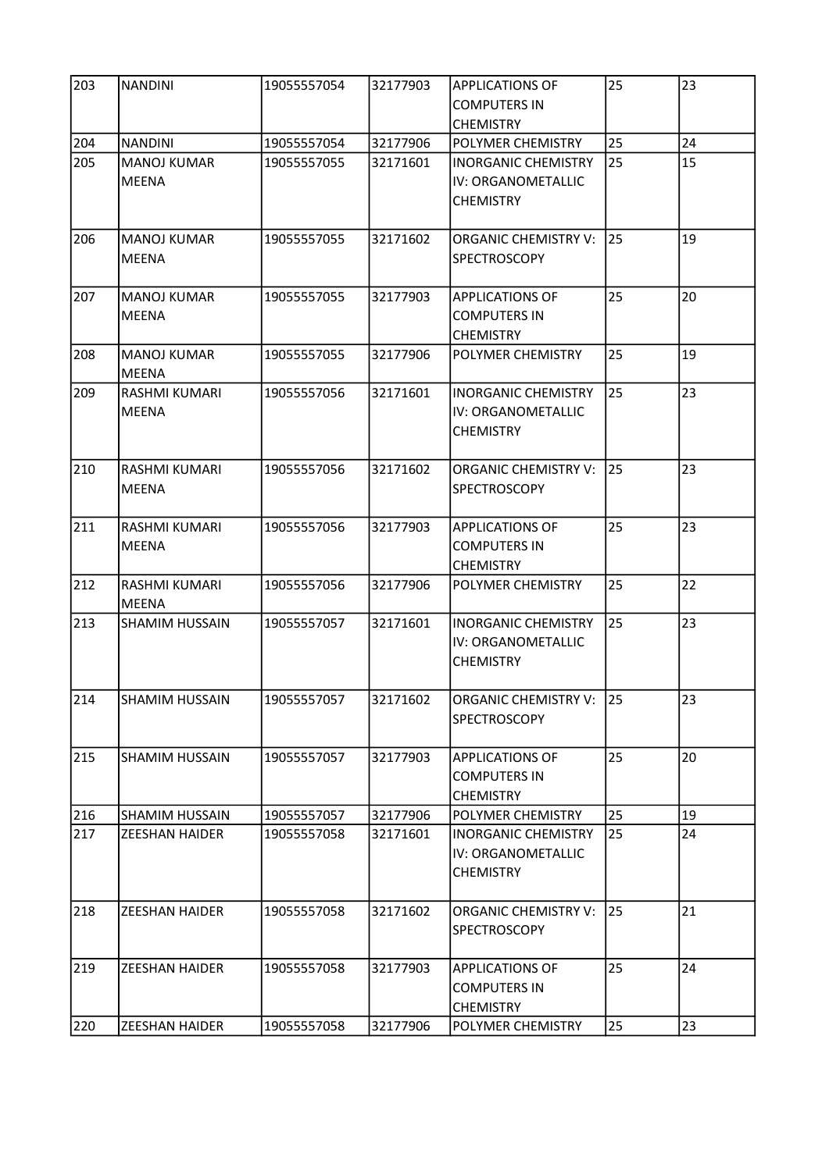| 203 | <b>NANDINI</b>                     | 19055557054 | 32177903 | <b>APPLICATIONS OF</b><br><b>COMPUTERS IN</b>                        | 25 | 23 |
|-----|------------------------------------|-------------|----------|----------------------------------------------------------------------|----|----|
|     |                                    |             |          | <b>CHEMISTRY</b>                                                     |    |    |
| 204 | <b>NANDINI</b>                     | 19055557054 | 32177906 | POLYMER CHEMISTRY                                                    | 25 | 24 |
| 205 | <b>MANOJ KUMAR</b><br><b>MEENA</b> | 19055557055 | 32171601 | <b>INORGANIC CHEMISTRY</b><br>IV: ORGANOMETALLIC<br><b>CHEMISTRY</b> | 25 | 15 |
| 206 | <b>MANOJ KUMAR</b><br><b>MEENA</b> | 19055557055 | 32171602 | <b>ORGANIC CHEMISTRY V:</b><br><b>SPECTROSCOPY</b>                   | 25 | 19 |
| 207 | <b>MANOJ KUMAR</b><br><b>MEENA</b> | 19055557055 | 32177903 | <b>APPLICATIONS OF</b><br><b>COMPUTERS IN</b><br><b>CHEMISTRY</b>    | 25 | 20 |
| 208 | <b>MANOJ KUMAR</b><br><b>MEENA</b> | 19055557055 | 32177906 | POLYMER CHEMISTRY                                                    | 25 | 19 |
| 209 | RASHMI KUMARI<br><b>MEENA</b>      | 19055557056 | 32171601 | <b>INORGANIC CHEMISTRY</b><br>IV: ORGANOMETALLIC<br><b>CHEMISTRY</b> | 25 | 23 |
| 210 | RASHMI KUMARI<br><b>MEENA</b>      | 19055557056 | 32171602 | <b>ORGANIC CHEMISTRY V:</b><br>SPECTROSCOPY                          | 25 | 23 |
| 211 | RASHMI KUMARI<br><b>MEENA</b>      | 19055557056 | 32177903 | <b>APPLICATIONS OF</b><br><b>COMPUTERS IN</b><br><b>CHEMISTRY</b>    | 25 | 23 |
| 212 | RASHMI KUMARI<br><b>MEENA</b>      | 19055557056 | 32177906 | POLYMER CHEMISTRY                                                    | 25 | 22 |
| 213 | <b>SHAMIM HUSSAIN</b>              | 19055557057 | 32171601 | <b>INORGANIC CHEMISTRY</b><br>IV: ORGANOMETALLIC<br><b>CHEMISTRY</b> | 25 | 23 |
| 214 | <b>SHAMIM HUSSAIN</b>              | 19055557057 | 32171602 | ORGANIC CHEMISTRY V: 25<br><b>SPECTROSCOPY</b>                       |    | 23 |
| 215 | <b>SHAMIM HUSSAIN</b>              | 19055557057 | 32177903 | <b>APPLICATIONS OF</b><br><b>COMPUTERS IN</b><br><b>CHEMISTRY</b>    | 25 | 20 |
| 216 | <b>SHAMIM HUSSAIN</b>              | 19055557057 | 32177906 | POLYMER CHEMISTRY                                                    | 25 | 19 |
| 217 | <b>ZEESHAN HAIDER</b>              | 19055557058 | 32171601 | <b>INORGANIC CHEMISTRY</b><br>IV: ORGANOMETALLIC<br><b>CHEMISTRY</b> | 25 | 24 |
| 218 | <b>ZEESHAN HAIDER</b>              | 19055557058 | 32171602 | <b>ORGANIC CHEMISTRY V:</b><br><b>SPECTROSCOPY</b>                   | 25 | 21 |
| 219 | <b>ZEESHAN HAIDER</b>              | 19055557058 | 32177903 | <b>APPLICATIONS OF</b><br><b>COMPUTERS IN</b><br><b>CHEMISTRY</b>    | 25 | 24 |
| 220 | <b>ZEESHAN HAIDER</b>              | 19055557058 | 32177906 | POLYMER CHEMISTRY                                                    | 25 | 23 |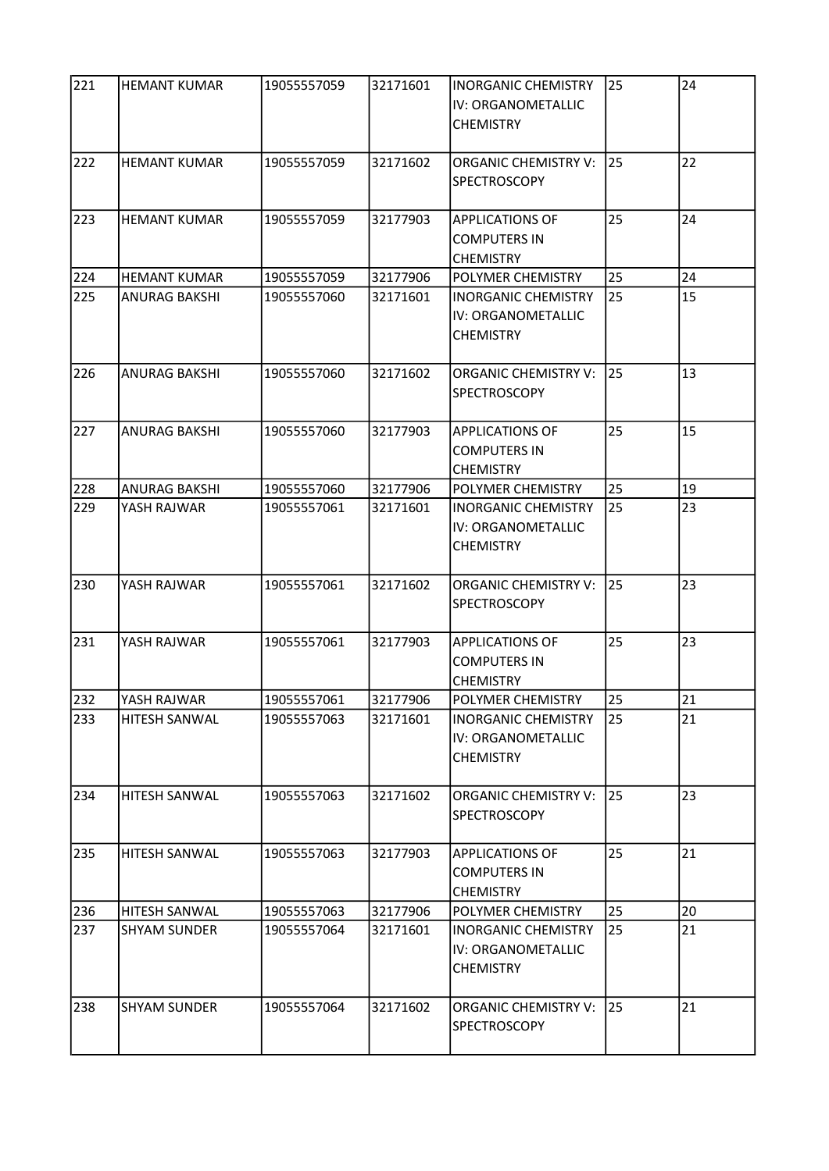| 221          | <b>HEMANT KUMAR</b>  | 19055557059 | 32171601 | <b>INORGANIC CHEMISTRY</b><br>IV: ORGANOMETALLIC<br><b>CHEMISTRY</b> | 25 | 24 |
|--------------|----------------------|-------------|----------|----------------------------------------------------------------------|----|----|
| 222          | <b>HEMANT KUMAR</b>  | 19055557059 | 32171602 | <b>ORGANIC CHEMISTRY V:</b><br><b>SPECTROSCOPY</b>                   | 25 | 22 |
| 223          | <b>HEMANT KUMAR</b>  | 19055557059 | 32177903 | <b>APPLICATIONS OF</b><br><b>COMPUTERS IN</b><br><b>CHEMISTRY</b>    | 25 | 24 |
| 224          | <b>HEMANT KUMAR</b>  | 19055557059 | 32177906 | POLYMER CHEMISTRY                                                    | 25 | 24 |
| 225          | ANURAG BAKSHI        | 19055557060 | 32171601 | <b>INORGANIC CHEMISTRY</b><br>IV: ORGANOMETALLIC<br><b>CHEMISTRY</b> | 25 | 15 |
| 226          | <b>ANURAG BAKSHI</b> | 19055557060 | 32171602 | <b>ORGANIC CHEMISTRY V:</b><br><b>SPECTROSCOPY</b>                   | 25 | 13 |
| 227          | ANURAG BAKSHI        | 19055557060 | 32177903 | <b>APPLICATIONS OF</b><br><b>COMPUTERS IN</b><br><b>CHEMISTRY</b>    | 25 | 15 |
| 228          | ANURAG BAKSHI        | 19055557060 | 32177906 | POLYMER CHEMISTRY                                                    | 25 | 19 |
| 229          | YASH RAJWAR          | 19055557061 | 32171601 | <b>INORGANIC CHEMISTRY</b><br>IV: ORGANOMETALLIC<br><b>CHEMISTRY</b> | 25 | 23 |
| 230          | YASH RAJWAR          | 19055557061 | 32171602 | <b>ORGANIC CHEMISTRY V:</b><br>SPECTROSCOPY                          | 25 | 23 |
| 231          | YASH RAJWAR          | 19055557061 | 32177903 | <b>APPLICATIONS OF</b><br><b>COMPUTERS IN</b><br><b>CHEMISTRY</b>    | 25 | 23 |
| $\sqrt{232}$ | YASH RAJWAR          | 19055557061 | 32177906 | POLYMER CHEMISTRY                                                    | 25 | 21 |
| 233          | HITESH SANWAL        | 19055557063 | 32171601 | <b>INORGANIC CHEMISTRY</b><br>IV: ORGANOMETALLIC<br><b>CHEMISTRY</b> | 25 | 21 |
| 234          | HITESH SANWAL        | 19055557063 | 32171602 | <b>ORGANIC CHEMISTRY V:</b><br><b>SPECTROSCOPY</b>                   | 25 | 23 |
| 235          | <b>HITESH SANWAL</b> | 19055557063 | 32177903 | <b>APPLICATIONS OF</b><br><b>COMPUTERS IN</b><br><b>CHEMISTRY</b>    | 25 | 21 |
| 236          | HITESH SANWAL        | 19055557063 | 32177906 | POLYMER CHEMISTRY                                                    | 25 | 20 |
| 237          | <b>SHYAM SUNDER</b>  | 19055557064 | 32171601 | <b>INORGANIC CHEMISTRY</b><br>IV: ORGANOMETALLIC<br><b>CHEMISTRY</b> | 25 | 21 |
| 238          | <b>SHYAM SUNDER</b>  | 19055557064 | 32171602 | <b>ORGANIC CHEMISTRY V:</b><br><b>SPECTROSCOPY</b>                   | 25 | 21 |